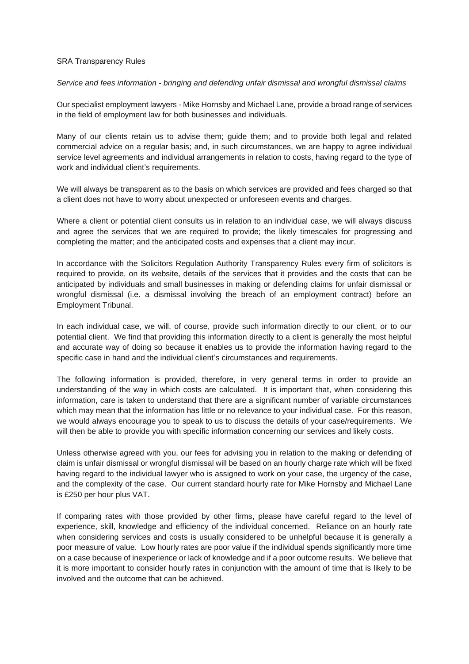## SRA Transparency Rules

*Service and fees information - bringing and defending unfair dismissal and wrongful dismissal claims*

Our specialist employment lawyers - Mike Hornsby and Michael Lane, provide a broad range of services in the field of employment law for both businesses and individuals.

Many of our clients retain us to advise them; guide them; and to provide both legal and related commercial advice on a regular basis; and, in such circumstances, we are happy to agree individual service level agreements and individual arrangements in relation to costs, having regard to the type of work and individual client's requirements.

We will always be transparent as to the basis on which services are provided and fees charged so that a client does not have to worry about unexpected or unforeseen events and charges.

Where a client or potential client consults us in relation to an individual case, we will always discuss and agree the services that we are required to provide; the likely timescales for progressing and completing the matter; and the anticipated costs and expenses that a client may incur.

In accordance with the Solicitors Regulation Authority Transparency Rules every firm of solicitors is required to provide, on its website, details of the services that it provides and the costs that can be anticipated by individuals and small businesses in making or defending claims for unfair dismissal or wrongful dismissal (i.e. a dismissal involving the breach of an employment contract) before an Employment Tribunal.

In each individual case, we will, of course, provide such information directly to our client, or to our potential client. We find that providing this information directly to a client is generally the most helpful and accurate way of doing so because it enables us to provide the information having regard to the specific case in hand and the individual client's circumstances and requirements.

The following information is provided, therefore, in very general terms in order to provide an understanding of the way in which costs are calculated. It is important that, when considering this information, care is taken to understand that there are a significant number of variable circumstances which may mean that the information has little or no relevance to your individual case. For this reason, we would always encourage you to speak to us to discuss the details of your case/requirements. We will then be able to provide you with specific information concerning our services and likely costs.

Unless otherwise agreed with you, our fees for advising you in relation to the making or defending of claim is unfair dismissal or wrongful dismissal will be based on an hourly charge rate which will be fixed having regard to the individual lawyer who is assigned to work on your case, the urgency of the case, and the complexity of the case. Our current standard hourly rate for Mike Hornsby and Michael Lane is £250 per hour plus VAT.

If comparing rates with those provided by other firms, please have careful regard to the level of experience, skill, knowledge and efficiency of the individual concerned. Reliance on an hourly rate when considering services and costs is usually considered to be unhelpful because it is generally a poor measure of value. Low hourly rates are poor value if the individual spends significantly more time on a case because of inexperience or lack of knowledge and if a poor outcome results. We believe that it is more important to consider hourly rates in conjunction with the amount of time that is likely to be involved and the outcome that can be achieved.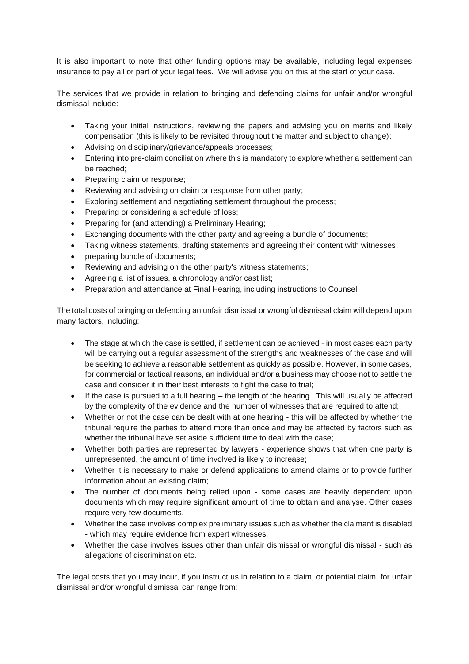It is also important to note that other funding options may be available, including legal expenses insurance to pay all or part of your legal fees. We will advise you on this at the start of your case.

The services that we provide in relation to bringing and defending claims for unfair and/or wrongful dismissal include:

- Taking your initial instructions, reviewing the papers and advising you on merits and likely compensation (this is likely to be revisited throughout the matter and subject to change);
- Advising on disciplinary/grievance/appeals processes;
- Entering into pre-claim conciliation where this is mandatory to explore whether a settlement can be reached;
- Preparing claim or response;
- Reviewing and advising on claim or response from other party;
- Exploring settlement and negotiating settlement throughout the process;
- Preparing or considering a schedule of loss:
- Preparing for (and attending) a Preliminary Hearing;
- Exchanging documents with the other party and agreeing a bundle of documents;
- Taking witness statements, drafting statements and agreeing their content with witnesses;
- preparing bundle of documents;
- Reviewing and advising on the other party's witness statements;
- Agreeing a list of issues, a chronology and/or cast list;
- Preparation and attendance at Final Hearing, including instructions to Counsel

The total costs of bringing or defending an unfair dismissal or wrongful dismissal claim will depend upon many factors, including:

- The stage at which the case is settled, if settlement can be achieved in most cases each party will be carrying out a regular assessment of the strengths and weaknesses of the case and will be seeking to achieve a reasonable settlement as quickly as possible. However, in some cases, for commercial or tactical reasons, an individual and/or a business may choose not to settle the case and consider it in their best interests to fight the case to trial;
- If the case is pursued to a full hearing the length of the hearing. This will usually be affected by the complexity of the evidence and the number of witnesses that are required to attend;
- Whether or not the case can be dealt with at one hearing this will be affected by whether the tribunal require the parties to attend more than once and may be affected by factors such as whether the tribunal have set aside sufficient time to deal with the case:
- Whether both parties are represented by lawyers experience shows that when one party is unrepresented, the amount of time involved is likely to increase;
- Whether it is necessary to make or defend applications to amend claims or to provide further information about an existing claim;
- The number of documents being relied upon some cases are heavily dependent upon documents which may require significant amount of time to obtain and analyse. Other cases require very few documents.
- Whether the case involves complex preliminary issues such as whether the claimant is disabled - which may require evidence from expert witnesses;
- Whether the case involves issues other than unfair dismissal or wrongful dismissal such as allegations of discrimination etc.

The legal costs that you may incur, if you instruct us in relation to a claim, or potential claim, for unfair dismissal and/or wrongful dismissal can range from: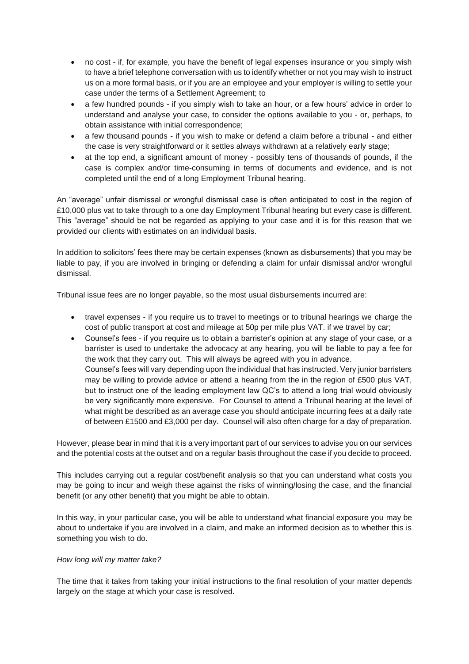- no cost if, for example, you have the benefit of legal expenses insurance or you simply wish to have a brief telephone conversation with us to identify whether or not you may wish to instruct us on a more formal basis, or if you are an employee and your employer is willing to settle your case under the terms of a Settlement Agreement; to
- a few hundred pounds if you simply wish to take an hour, or a few hours' advice in order to understand and analyse your case, to consider the options available to you - or, perhaps, to obtain assistance with initial correspondence;
- a few thousand pounds if you wish to make or defend a claim before a tribunal and either the case is very straightforward or it settles always withdrawn at a relatively early stage;
- at the top end, a significant amount of money possibly tens of thousands of pounds, if the case is complex and/or time-consuming in terms of documents and evidence, and is not completed until the end of a long Employment Tribunal hearing.

An "average" unfair dismissal or wrongful dismissal case is often anticipated to cost in the region of £10,000 plus vat to take through to a one day Employment Tribunal hearing but every case is different. This "average" should be not be regarded as applying to your case and it is for this reason that we provided our clients with estimates on an individual basis.

In addition to solicitors' fees there may be certain expenses (known as disbursements) that you may be liable to pay, if you are involved in bringing or defending a claim for unfair dismissal and/or wrongful dismissal.

Tribunal issue fees are no longer payable, so the most usual disbursements incurred are:

- travel expenses if you require us to travel to meetings or to tribunal hearings we charge the cost of public transport at cost and mileage at 50p per mile plus VAT. if we travel by car;
- Counsel's fees if you require us to obtain a barrister's opinion at any stage of your case, or a barrister is used to undertake the advocacy at any hearing, you will be liable to pay a fee for the work that they carry out. This will always be agreed with you in advance. Counsel's fees will vary depending upon the individual that has instructed. Very junior barristers may be willing to provide advice or attend a hearing from the in the region of £500 plus VAT, but to instruct one of the leading employment law QC's to attend a long trial would obviously be very significantly more expensive. For Counsel to attend a Tribunal hearing at the level of what might be described as an average case you should anticipate incurring fees at a daily rate of between £1500 and £3,000 per day. Counsel will also often charge for a day of preparation.

However, please bear in mind that it is a very important part of our services to advise you on our services and the potential costs at the outset and on a regular basis throughout the case if you decide to proceed.

This includes carrying out a regular cost/benefit analysis so that you can understand what costs you may be going to incur and weigh these against the risks of winning/losing the case, and the financial benefit (or any other benefit) that you might be able to obtain.

In this way, in your particular case, you will be able to understand what financial exposure you may be about to undertake if you are involved in a claim, and make an informed decision as to whether this is something you wish to do.

## *How long will my matter take?*

The time that it takes from taking your initial instructions to the final resolution of your matter depends largely on the stage at which your case is resolved.